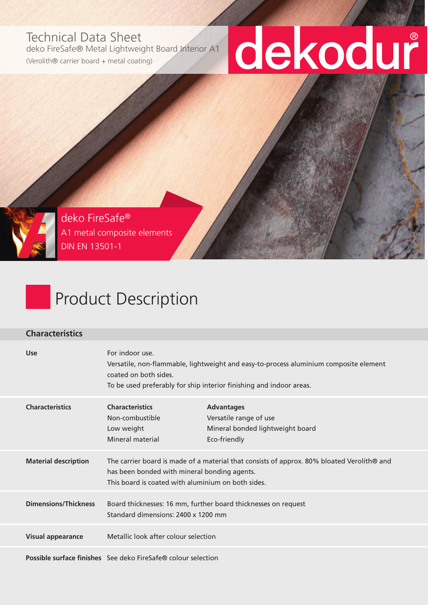## Technical Data Sheet

deko FireSafe® Metal Lightweight Board Interior A1

(Verolith® carrier board + metal coating)

# dekodur

deko FireSafe® A1 metal composite elements DIN EN 13501-1

## Product Description

#### **Characteristics**

| <b>Use</b>                  | For indoor use.<br>coated on both sides.                                                                                                                                                         | Versatile, non-flammable, lightweight and easy-to-process aluminium composite element<br>To be used preferably for ship interior finishing and indoor areas. |  |
|-----------------------------|--------------------------------------------------------------------------------------------------------------------------------------------------------------------------------------------------|--------------------------------------------------------------------------------------------------------------------------------------------------------------|--|
| <b>Characteristics</b>      | <b>Characteristics</b><br>Non-combustible<br>Low weight<br>Mineral material                                                                                                                      | <b>Advantages</b><br>Versatile range of use<br>Mineral bonded lightweight board<br>Eco-friendly                                                              |  |
| <b>Material description</b> | The carrier board is made of a material that consists of approx. 80% bloated Verolith® and<br>has been bonded with mineral bonding agents.<br>This board is coated with aluminium on both sides. |                                                                                                                                                              |  |
| <b>Dimensions/Thickness</b> | Board thicknesses: 16 mm, further board thicknesses on request<br>Standard dimensions: 2400 x 1200 mm                                                                                            |                                                                                                                                                              |  |
| <b>Visual appearance</b>    | Metallic look after colour selection                                                                                                                                                             |                                                                                                                                                              |  |
|                             |                                                                                                                                                                                                  |                                                                                                                                                              |  |

**Possible surface finishes** See deko FireSafe® colour selection